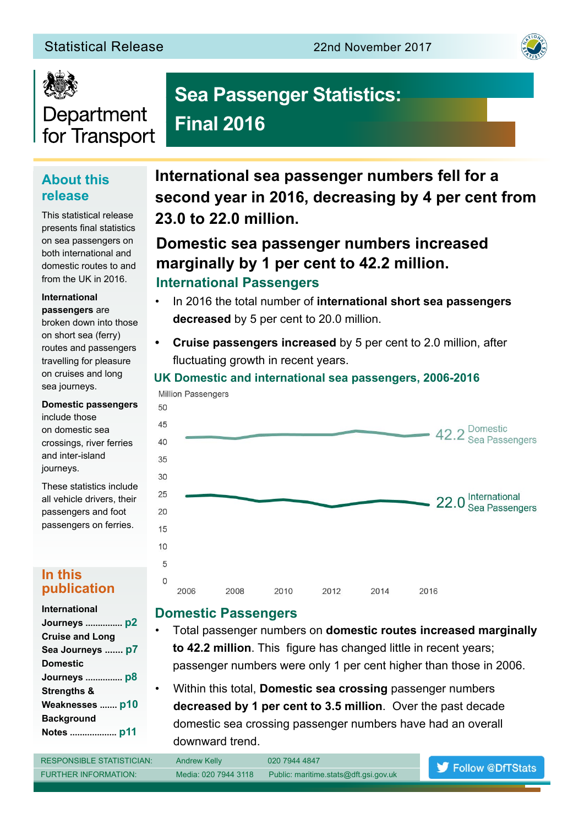# Statistical Release 22nd November 2017





# Department for Transport

# **Sea Passenger Statistics: Final 2016**

# **About this release**

This statistical release presents final statistics on sea passengers on both international and domestic routes to and from the UK in 2016.

#### **International passengers** are

broken down into those on short sea (ferry) routes and passengers travelling for pleasure on cruises and long sea journeys.

**Domestic passengers**  include those on domestic sea crossings, river ferries and inter-island journeys.

50

These statistics include all vehicle drivers, their passengers and foot passengers on ferries.

#### **In this publication**

**International sea passenger numbers fell for a second year in 2016, decreasing by 4 per cent from 23.0 to 22.0 million.**

# **Domestic sea passenger numbers increased marginally by 1 per cent to 42.2 million. International Passengers**

- In 2016 the total number of **international short sea passengers decreased** by 5 per cent to 20.0 million.
- **• Cruise passengers increased** by 5 per cent to 2.0 million, after fluctuating growth in recent years.

#### **UK Domestic and international sea passengers, 2006-2016 Million Passengers**



# **Domestic Passengers**

- Total passenger numbers on **domestic routes increased marginally to 42.2 million**. This figure has changed little in recent years; passenger numbers were only 1 per cent higher than those in 2006.
- Within this total, **Domestic sea crossing** passenger numbers **decreased by 1 per cent to 3.5 million**. Over the past decade domestic sea crossing passenger numbers have had an overall downward trend.

| <b>RESPONSIBLE STATISTICIAN:</b> | <b>Andrew Kelly</b>  | 020 7944 4847                         | Follow @DfTStats |
|----------------------------------|----------------------|---------------------------------------|------------------|
| <b>FURTHER INFORMATION:</b>      | Media: 020 7944 3118 | Public: maritime.stats@dft.gsi.gov.uk |                  |
|                                  |                      |                                       |                  |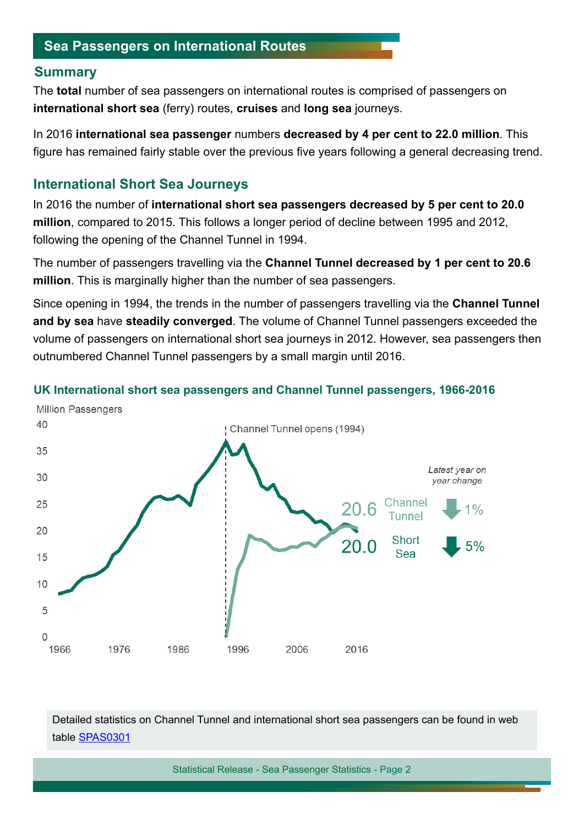#### **Summary**

The **total** number of sea passengers on international routes is comprised of passengers on **international short sea** (ferry) routes, **cruises** and **long sea** journeys.

In 2016 **international sea passenger** numbers **decreased by 4 per cent to 22.0 million**. This figure has remained fairly stable over the previous five years following a general decreasing trend.

## **International Short Sea Journeys**

In 2016 the number of **international short sea passengers decreased by 5 per cent to 20.0 million**, compared to 2015. This follows a longer period of decline between 1995 and 2012, following the opening of the Channel Tunnel in 1994.

The number of passengers travelling via the **Channel Tunnel decreased by 1 per cent to 20.6 million**. This is marginally higher than the number of sea passengers.

Since opening in 1994, the trends in the number of passengers travelling via the **Channel Tunnel and by sea** have **steadily converged**. The volume of Channel Tunnel passengers exceeded the volume of passengers on international short sea journeys in 2012. However, sea passengers then outnumbered Channel Tunnel passengers by a small margin until 2016.



#### **UK International short sea passengers and Channel Tunnel passengers, 1966-2016**

Detailed statistics on Channel Tunnel and international short sea passengers can be found in web table [SPAS0301](https://www.gov.uk/government/statistical-data-sets/spas03-uk-international-short-sea-passengers)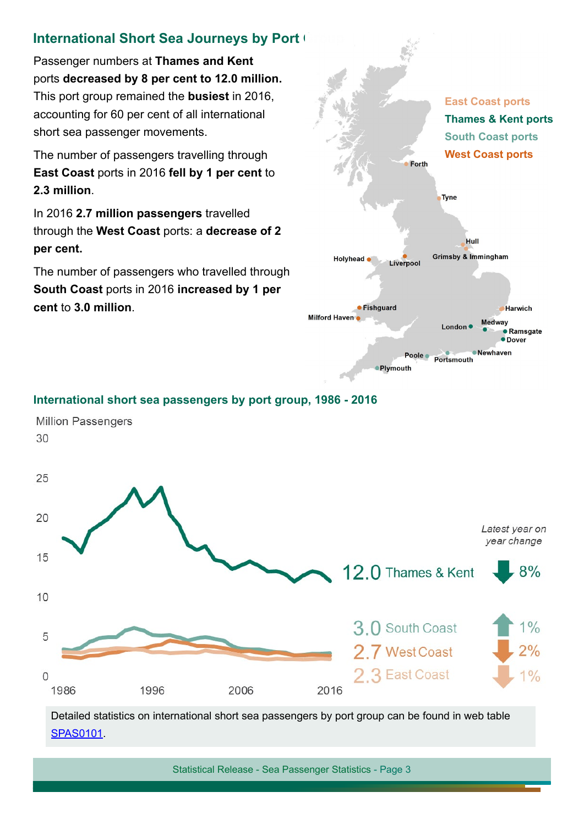# **International Short Sea Journeys by Port (**

Passenger numbers at **Thames and Kent** ports **decreased by 8 per cent to 12.0 million.**  This port group remained the **busiest** in 2016, accounting for 60 per cent of all international short sea passenger movements.

The number of passengers travelling through **East Coast** ports in 2016 **fell by 1 per cent** to **2.3 million**.

In 2016 **2.7 million passengers** travelled through the **West Coast** ports: a **decrease of 2 per cent.**

The number of passengers who travelled through **South Coast** ports in 2016 **increased by 1 per cent** to **3.0 million**.



#### **International short sea passengers by port group, 1986 - 2016**



[SPAS0101](https://www.gov.uk/government/statistical-data-sets/spas01-uk-international-sea-passengers).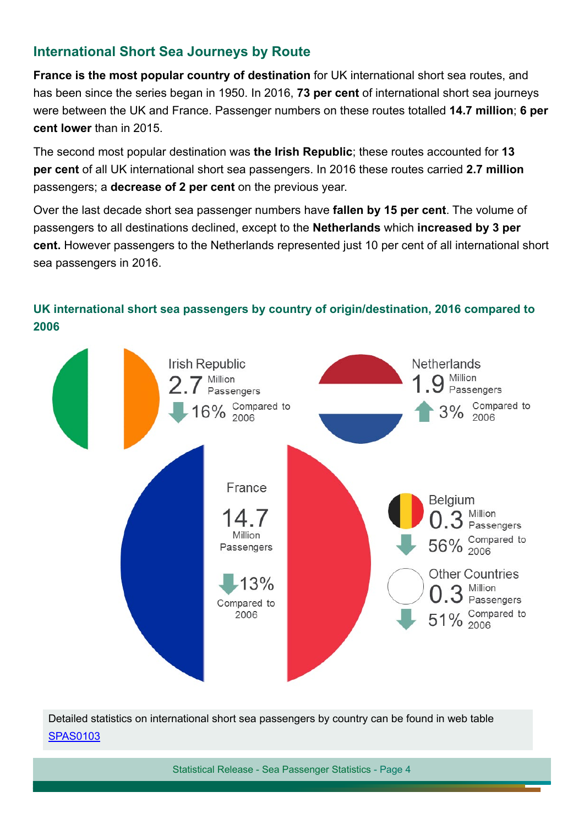# **International Short Sea Journeys by Route**

**France is the most popular country of destination** for UK international short sea routes, and has been since the series began in 1950. In 2016, **73 per cent** of international short sea journeys were between the UK and France. Passenger numbers on these routes totalled **14.7 million**; **6 per cent lower** than in 2015.

The second most popular destination was **the Irish Republic**; these routes accounted for **13 per cent** of all UK international short sea passengers. In 2016 these routes carried **2.7 million** passengers; a **decrease of 2 per cent** on the previous year.

Over the last decade short sea passenger numbers have **fallen by 15 per cent**. The volume of passengers to all destinations declined, except to the **Netherlands** which **increased by 3 per cent.** However passengers to the Netherlands represented just 10 per cent of all international short sea passengers in 2016.

## **UK international short sea passengers by country of origin/destination, 2016 compared to 2006**



Detailed statistics on international short sea passengers by country can be found in web table [SPAS0103](https://www.gov.uk/government/statistical-data-sets/spas01-uk-international-sea-passengers#table-spas0103)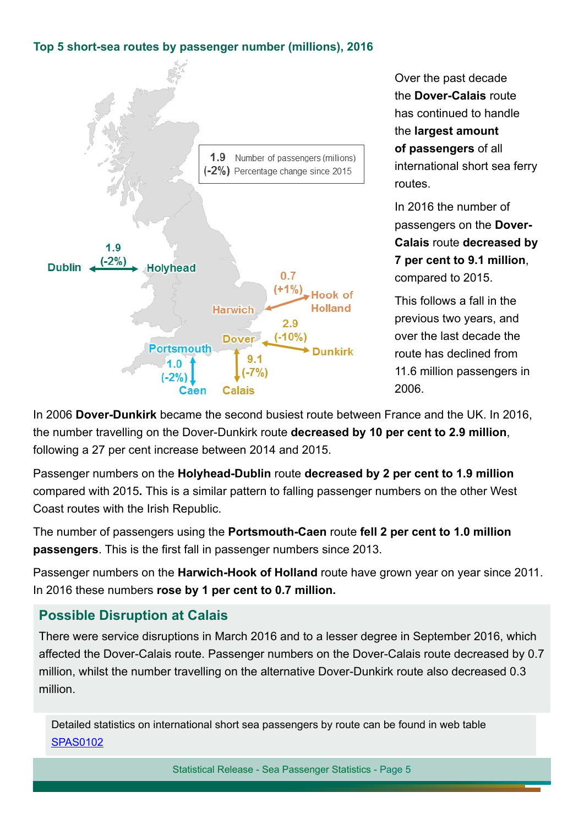#### **Top 5 short-sea routes by passenger number (millions), 2016**



Over the past decade the **Dover-Calais** route has continued to handle the **largest amount of passengers** of all international short sea ferry routes.

In 2016 the number of passengers on the **Dover-Calais** route **decreased by 7 per cent to 9.1 million**, compared to 2015.

This follows a fall in the previous two years, and over the last decade the route has declined from 11.6 million passengers in 2006.

In 2006 **Dover-Dunkirk** became the second busiest route between France and the UK. In 2016, the number travelling on the Dover-Dunkirk route **decreased by 10 per cent to 2.9 million**, following a 27 per cent increase between 2014 and 2015.

Passenger numbers on the **Holyhead-Dublin** route **decreased by 2 per cent to 1.9 million**  compared with 2015**.** This is a similar pattern to falling passenger numbers on the other West Coast routes with the Irish Republic.

The number of passengers using the **Portsmouth-Caen** route **fell 2 per cent to 1.0 million passengers**. This is the first fall in passenger numbers since 2013.

Passenger numbers on the **Harwich-Hook of Holland** route have grown year on year since 2011. In 2016 these numbers **rose by 1 per cent to 0.7 million.**

# **Possible Disruption at Calais**

There were service disruptions in March 2016 and to a lesser degree in September 2016, which affected the Dover-Calais route. Passenger numbers on the Dover-Calais route decreased by 0.7 million, whilst the number travelling on the alternative Dover-Dunkirk route also decreased 0.3 million.

Detailed statistics on international short sea passengers by route can be found in web table [SPAS010](https://www.gov.uk/government/statistical-data-sets/spas01-uk-international-sea-passengers#table-spas0102)2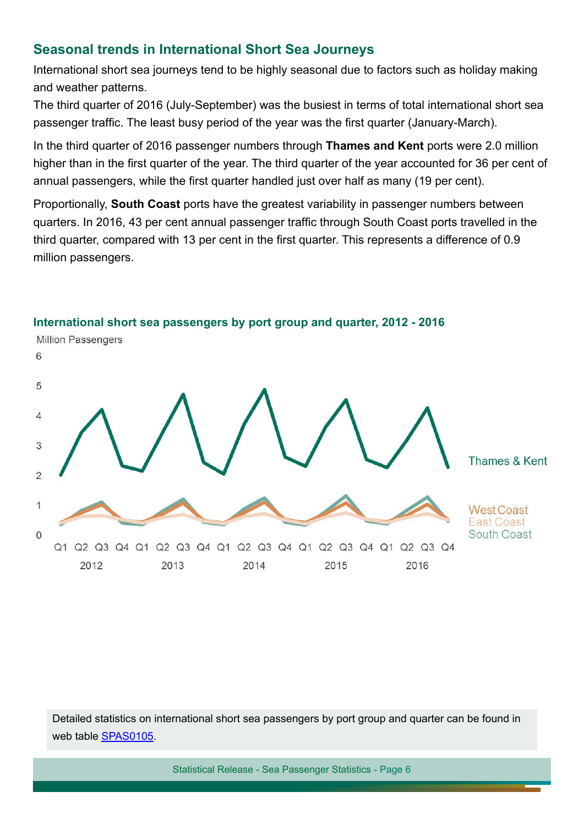# **Seasonal trends in International Short Sea Journeys**

International short sea journeys tend to be highly seasonal due to factors such as holiday making and weather patterns.

The third quarter of 2016 (July-September) was the busiest in terms of total international short sea passenger traffic. The least busy period of the year was the first quarter (January-March).

In the third quarter of 2016 passenger numbers through **Thames and Kent** ports were 2.0 million higher than in the first quarter of the year. The third quarter of the year accounted for 36 per cent of annual passengers, while the first quarter handled just over half as many (19 per cent).

Proportionally, **South Coast** ports have the greatest variability in passenger numbers between quarters. In 2016, 43 per cent annual passenger traffic through South Coast ports travelled in the third quarter, compared with 13 per cent in the first quarter. This represents a difference of 0.9 million passengers.



**International short sea passengers by port group and quarter, 2012 - 2016**

Detailed statistics on international short sea passengers by port group and quarter can be found in web table [SPAS010](https://www.gov.uk/government/statistical-data-sets/spas01-uk-international-sea-passengers)5.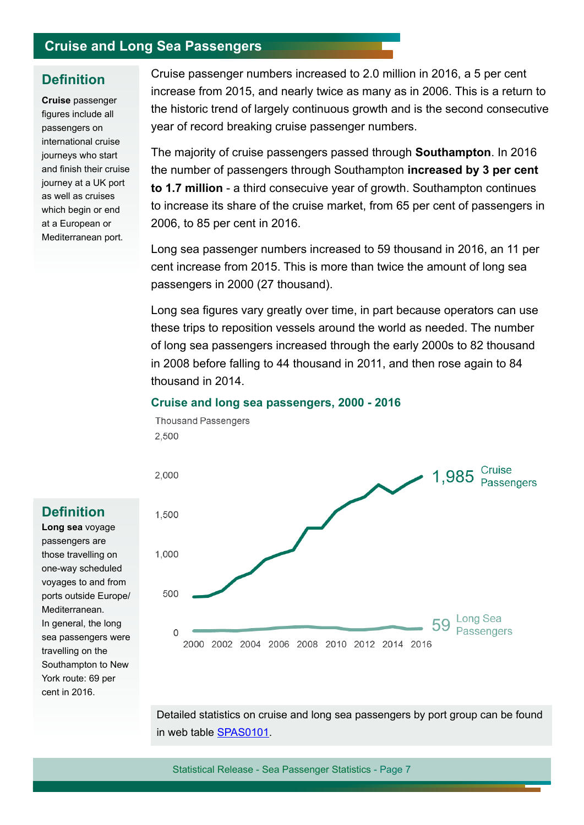# **Cruise and Long Sea Passengers**

#### **Definition**

**Cruise** passenger figures include all passengers on international cruise journeys who start and finish their cruise journey at a UK port as well as cruises which begin or end at a European or Mediterranean port.

Cruise passenger numbers increased to 2.0 million in 2016, a 5 per cent increase from 2015, and nearly twice as many as in 2006. This is a return to the historic trend of largely continuous growth and is the second consecutive year of record breaking cruise passenger numbers.

The majority of cruise passengers passed through **Southampton**. In 2016 the number of passengers through Southampton **increased by 3 per cent to 1.7 million** - a third consecuive year of growth. Southampton continues to increase its share of the cruise market, from 65 per cent of passengers in 2006, to 85 per cent in 2016.

Long sea passenger numbers increased to 59 thousand in 2016, an 11 per cent increase from 2015. This is more than twice the amount of long sea passengers in 2000 (27 thousand).

Long sea figures vary greatly over time, in part because operators can use these trips to reposition vessels around the world as needed. The number of long sea passengers increased through the early 2000s to 82 thousand in 2008 before falling to 44 thousand in 2011, and then rose again to 84 thousand in 2014.

#### **Cruise and long sea passengers, 2000 - 2016**

**Thousand Passengers** 

2,500 1,985 Cruise 2,000 1,500 1,000 500 Long Sea 59 Passengers  $\Omega$ 2000 2002 2004 2006 2008 2010 2012 2014 2016

Detailed statistics on cruise and long sea passengers by port group can be found in web table [SPAS0101](https://www.gov.uk/government/statistical-data-sets/spas01-uk-international-sea-passengers).

Statistical Release - Sea Passenger Statistics - Page 7

# **Definition**

**Long sea** voyage passengers are those travelling on one-way scheduled voyages to and from ports outside Europe/ Mediterranean. In general, the long sea passengers were travelling on the Southampton to New York route: 69 per cent in 2016.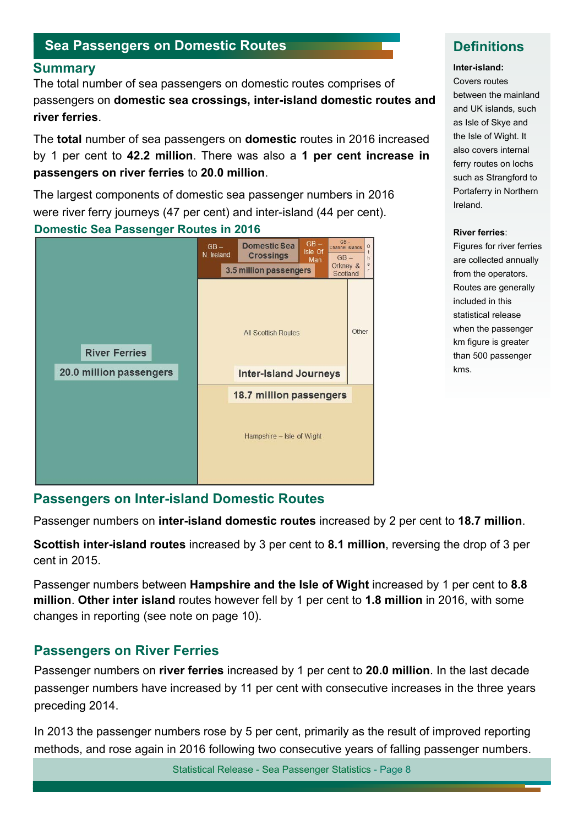# **Sea Passengers on Domestic Routes**

**Summary Inter-island:**<br>The total number of each personagers on demostic routes comprison of **Example** Covers routes The total number of sea passengers on domestic routes comprises of passengers on **domestic sea crossings, inter-island domestic routes and** between the mainland **river ferries**.

The **total** number of sea passengers on **domestic** routes in 2016 increased by 1 per cent to **42.2 million**. There was also a **1 per cent increase in passengers on river ferries** to **20.0 million**.

The largest components of domestic sea passenger numbers in 2016 were river ferry journeys (47 per cent) and inter-island (44 per cent).

#### **Domestic Sea Passenger Routes in 2016**

![](_page_7_Figure_6.jpeg)

# **Definitions**

and UK islands, such as Isle of Skye and the Isle of Wight. It also covers internal ferry routes on lochs such as Strangford to Portaferry in Northern Ireland.

#### **River ferries**:

Figures for river ferries are collected annually from the operators. Routes are generally included in this statistical release when the passenger km figure is greater than 500 passenger kms.

#### **Passengers on Inter-island Domestic Routes**

Passenger numbers on **inter-island domestic routes** increased by 2 per cent to **18.7 million**.

**Scottish inter-island routes** increased by 3 per cent to **8.1 million**, reversing the drop of 3 per cent in 2015.

Passenger numbers between **Hampshire and the Isle of Wight** increased by 1 per cent to **8.8 million**. **Other inter island** routes however fell by 1 per cent to **1.8 million** in 2016, with some changes in reporting (see note on page 10).

#### **Passengers on River Ferries**

Passenger numbers on **river ferries** increased by 1 per cent to **20.0 million**. In the last decade passenger numbers have increased by 11 per cent with consecutive increases in the three years preceding 2014.

In 2013 the passenger numbers rose by 5 per cent, primarily as the result of improved reporting methods, and rose again in 2016 following two consecutive years of falling passenger numbers.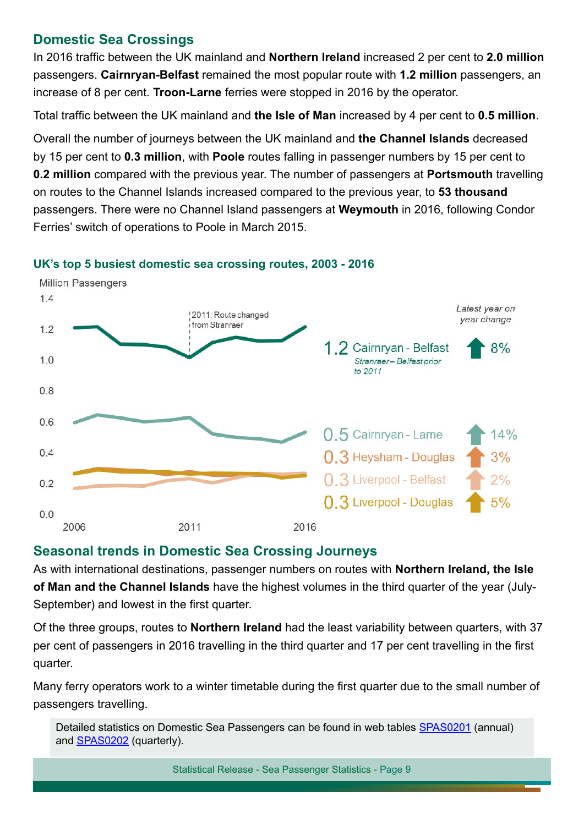# **Domestic Sea Crossings**

In 2016 traffic between the UK mainland and **Northern Ireland** increased 2 per cent to **2.0 million** passengers. **Cairnryan-Belfast** remained the most popular route with **1.2 million** passengers, an increase of 8 per cent. **Troon-Larne** ferries were stopped in 2016 by the operator.

Total traffic between the UK mainland and **the Isle of Man** increased by 4 per cent to **0.5 million**.

Overall the number of journeys between the UK mainland and **the Channel Islands** decreased by 15 per cent to **0.3 million**, with **Poole** routes falling in passenger numbers by 15 per cent to **0.2 million** compared with the previous year. The number of passengers at **Portsmouth** travelling on routes to the Channel Islands increased compared to the previous year, to **53 thousand**  passengers. There were no Channel Island passengers at **Weymouth** in 2016, following Condor Ferries' switch of operations to Poole in March 2015.

![](_page_8_Figure_4.jpeg)

#### **UK's top 5 busiest domestic sea crossing routes, 2003 - 2016**

#### **Seasonal trends in Domestic Sea Crossing Journeys**

As with international destinations, passenger numbers on routes with **Northern Ireland, the Isle of Man and the Channel Islands** have the highest volumes in the third quarter of the year (July-September) and lowest in the first quarter.

Of the three groups, routes to **Northern Ireland** had the least variability between quarters, with 37 per cent of passengers in 2016 travelling in the third quarter and 17 per cent travelling in the first quarter.

Many ferry operators work to a winter timetable during the first quarter due to the small number of passengers travelling.

Detailed statistics on Domestic Sea Passengers can be found in web tables SPAS0201 (annual) and **SPAS0202** (quarterly).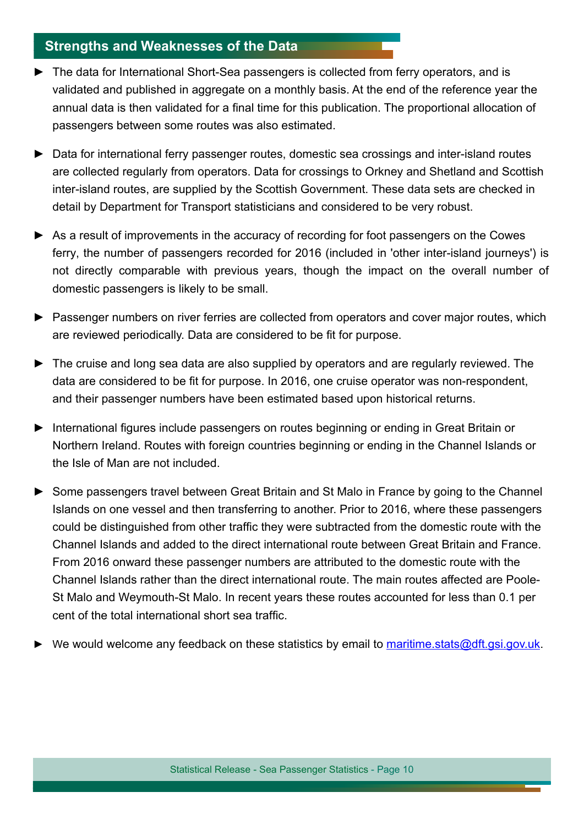# **Strengths and Weaknesses of the Data**

- ► The data for International Short-Sea passengers is collected from ferry operators, and is validated and published in aggregate on a monthly basis. At the end of the reference year the annual data is then validated for a final time for this publication. The proportional allocation of passengers between some routes was also estimated.
- ► Data for international ferry passenger routes, domestic sea crossings and inter-island routes are collected regularly from operators. Data for crossings to Orkney and Shetland and Scottish inter-island routes, are supplied by the Scottish Government. These data sets are checked in detail by Department for Transport statisticians and considered to be very robust.
- ► As a result of improvements in the accuracy of recording for foot passengers on the Cowes ferry, the number of passengers recorded for 2016 (included in 'other inter-island journeys') is not directly comparable with previous years, though the impact on the overall number of domestic passengers is likely to be small.
- ► Passenger numbers on river ferries are collected from operators and cover major routes, which are reviewed periodically. Data are considered to be fit for purpose.
- ► The cruise and long sea data are also supplied by operators and are regularly reviewed. The data are considered to be fit for purpose. In 2016, one cruise operator was non-respondent, and their passenger numbers have been estimated based upon historical returns.
- ► International figures include passengers on routes beginning or ending in Great Britain or Northern Ireland. Routes with foreign countries beginning or ending in the Channel Islands or the Isle of Man are not included.
- ► Some passengers travel between Great Britain and St Malo in France by going to the Channel Islands on one vessel and then transferring to another. Prior to 2016, where these passengers could be distinguished from other traffic they were subtracted from the domestic route with the Channel Islands and added to the direct international route between Great Britain and France. From 2016 onward these passenger numbers are attributed to the domestic route with the Channel Islands rather than the direct international route. The main routes affected are Poole-St Malo and Weymouth-St Malo. In recent years these routes accounted for less than 0.1 per cent of the total international short sea traffic.
- We would welcome any feedback on these statistics by email to maritime.stats@dft.gsi.gov.uk.